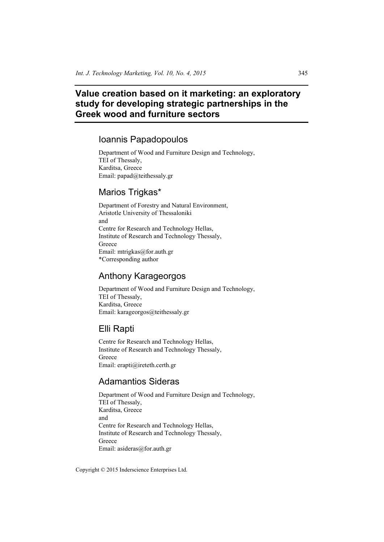# **Value creation based on it marketing: an exploratory study for developing strategic partnerships in the Greek wood and furniture sectors**

### Ioannis Papadopoulos

Department of Wood and Furniture Design and Technology, TEI of Thessaly, Karditsa, Greece Email: papad@teithessaly.gr

# Marios Trigkas\*

Department of Forestry and Natural Environment, Aristotle University of Thessaloniki and Centre for Research and Technology Hellas, Institute of Research and Technology Thessaly, **Greece** Email: mtrigkas@for.auth.gr \*Corresponding author

# Anthony Karageorgos

Department of Wood and Furniture Design and Technology, TEI of Thessaly, Karditsa, Greece Email: karageorgos@teithessaly.gr

# Elli Rapti

Centre for Research and Technology Hellas, Institute of Research and Technology Thessaly, Greece Email: erapti@ireteth.certh.gr

# Adamantios Sideras

Department of Wood and Furniture Design and Technology, TEI of Thessaly, Karditsa, Greece and Centre for Research and Technology Hellas, Institute of Research and Technology Thessaly, **Greece** Email: asideras@for.auth.gr

Copyright © 2015 Inderscience Enterprises Ltd.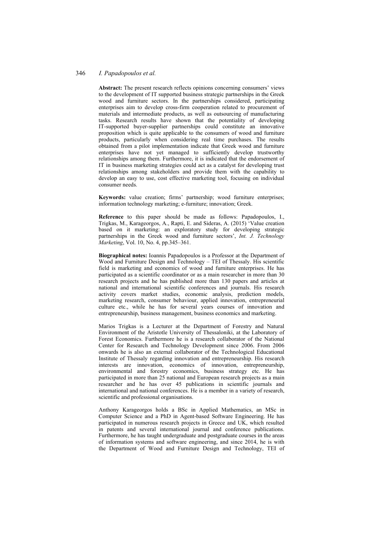**Abstract:** The present research reflects opinions concerning consumers' views to the development of IT supported business strategic partnerships in the Greek wood and furniture sectors. In the partnerships considered, participating enterprises aim to develop cross-firm cooperation related to procurement of materials and intermediate products, as well as outsourcing of manufacturing tasks. Research results have shown that the potentiality of developing IT-supported buyer-supplier partnerships could constitute an innovative proposition which is quite applicable to the consumers of wood and furniture products, particularly when considering real time purchases. The results obtained from a pilot implementation indicate that Greek wood and furniture enterprises have not yet managed to sufficiently develop trustworthy relationships among them. Furthermore, it is indicated that the endorsement of IT in business marketing strategies could act as a catalyst for developing trust relationships among stakeholders and provide them with the capability to develop an easy to use, cost effective marketing tool, focusing on individual consumer needs.

**Keywords:** value creation; firms' partnership; wood furniture enterprises; information technology marketing; e-furniture; innovation; Greek.

**Reference** to this paper should be made as follows: Papadopoulos, I., Trigkas, M., Karageorgos, A., Rapti, E. and Sideras, A. (2015) 'Value creation based on it marketing: an exploratory study for developing strategic partnerships in the Greek wood and furniture sectors', *Int. J. Technology Marketing*, Vol. 10, No. 4, pp.345–361.

**Biographical notes:** Ioannis Papadopoulos is a Professor at the Department of Wood and Furniture Design and Technology – TEI of Thessaly. His scientific field is marketing and economics of wood and furniture enterprises. He has participated as a scientific coordinator or as a main researcher in more than 30 research projects and he has published more than 130 papers and articles at national and international scientific conferences and journals. His research activity covers market studies, economic analysis, prediction models, marketing research, consumer behaviour, applied innovation, entrepreneurial culture etc., while he has for several years courses of innovation and entrepreneurship, business management, business economics and marketing.

Marios Trigkas is a Lecturer at the Department of Forestry and Natural Environment of the Aristotle University of Thessaloniki, at the Laboratory of Forest Economics. Furthermore he is a research collaborator of the National Center for Research and Technology Development since 2006. From 2006 onwards he is also an external collaborator of the Technological Educational Institute of Thessaly regarding innovation and entrepreneurship. His research interests are innovation, economics of innovation, entrepreneurship, environmental and forestry economics, business strategy etc. He has participated in more than 25 national and European research projects as a main researcher and he has over 45 publications in scientific journals and international and national conferences. He is a member in a variety of research, scientific and professional organisations.

Anthony Karageorgos holds a BSc in Applied Mathematics, an MSc in Computer Science and a PhD in Agent-based Software Engineering. He has participated in numerous research projects in Greece and UK, which resulted in patents and several international journal and conference publications. Furthermore, he has taught undergraduate and postgraduate courses in the areas of information systems and software engineering, and since 2014, he is with the Department of Wood and Furniture Design and Technology, TEI of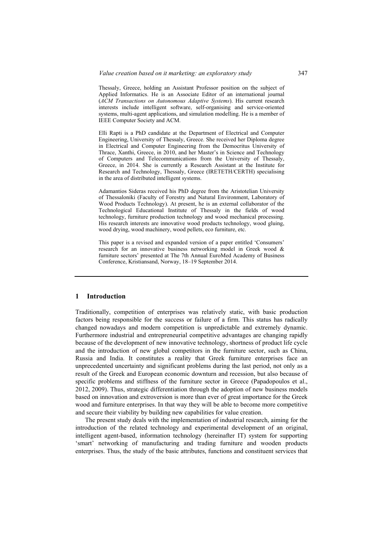Thessaly, Greece, holding an Assistant Professor position on the subject of Applied Informatics. He is an Associate Editor of an international journal (*ACM Transactions on Autonomous Adaptive Systems*). His current research interests include intelligent software, self-organising and service-oriented systems, multi-agent applications, and simulation modelling. He is a member of ΙΕΕΕ Computer Society and ACM.

Elli Rapti is a PhD candidate at the Department of Electrical and Computer Engineering, University of Thessaly, Greece. She received her Diploma degree in Electrical and Computer Engineering from the Democritus University of Thrace, Xanthi, Greece, in 2010, and her Master's in Science and Technology of Computers and Telecommunications from the University of Thessaly, Greece, in 2014. She is currently a Research Assistant at the Institute for Research and Technology, Thessaly, Greece (IRETETH/CERTH) specialising in the area of distributed intelligent systems.

Adamantios Sideras received his PhD degree from the Aristotelian University of Thessaloniki (Faculty of Forestry and Natural Environment, Laboratory of Wood Products Technology). At present, he is an external collaborator of the Technological Educational Institute of Thessaly in the fields of wood technology, furniture production technology and wood mechanical processing. His research interests are innovative wood products technology, wood gluing, wood drying, wood machinery, wood pellets, eco furniture, etc.

This paper is a revised and expanded version of a paper entitled 'Consumers' research for an innovative business networking model in Greek wood & furniture sectors' presented at The 7th Annual EuroMed Academy of Business Conference, Kristiansand, Norway, 18–19 September 2014.

#### **1 Introduction**

Traditionally, competition of enterprises was relatively static, with basic production factors being responsible for the success or failure of a firm. This status has radically changed nowadays and modern competition is unpredictable and extremely dynamic. Furthermore industrial and entrepreneurial competitive advantages are changing rapidly because of the development of new innovative technology, shortness of product life cycle and the introduction of new global competitors in the furniture sector, such as China, Russia and India. It constitutes a reality that Greek furniture enterprises face an unprecedented uncertainty and significant problems during the last period, not only as a result of the Greek and European economic downturn and recession, but also because of specific problems and stiffness of the furniture sector in Greece (Papadopoulos et al., 2012, 2009). Thus, strategic differentiation through the adoption of new business models based on innovation and extroversion is more than ever of great importance for the Greek wood and furniture enterprises. In that way they will be able to become more competitive and secure their viability by building new capabilities for value creation.

The present study deals with the implementation of industrial research, aiming for the introduction of the related technology and experimental development of an original, intelligent agent-based, information technology (hereinafter IT) system for supporting 'smart' networking of manufacturing and trading furniture and wooden products enterprises. Thus, the study of the basic attributes, functions and constituent services that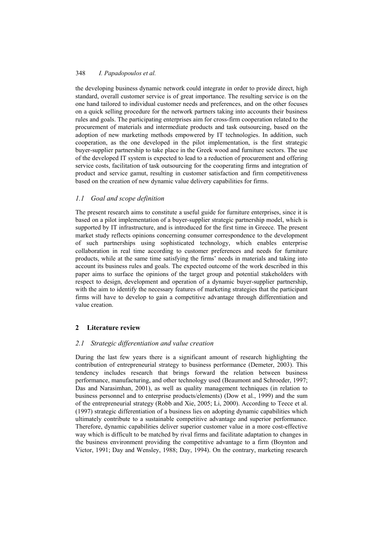the developing business dynamic network could integrate in order to provide direct, high standard, overall customer service is of great importance. The resulting service is on the one hand tailored to individual customer needs and preferences, and on the other focuses on a quick selling procedure for the network partners taking into accounts their business rules and goals. The participating enterprises aim for cross-firm cooperation related to the procurement of materials and intermediate products and task outsourcing, based on the adoption of new marketing methods empowered by IT technologies. In addition, such cooperation, as the one developed in the pilot implementation, is the first strategic buyer-supplier partnership to take place in the Greek wood and furniture sectors. The use of the developed IT system is expected to lead to a reduction of procurement and offering service costs, facilitation of task outsourcing for the cooperating firms and integration of product and service gamut, resulting in customer satisfaction and firm competitiveness based on the creation of new dynamic value delivery capabilities for firms.

#### *1.1 Goal and scope definition*

The present research aims to constitute a useful guide for furniture enterprises, since it is based on a pilot implementation of a buyer-supplier strategic partnership model, which is supported by IT infrastructure, and is introduced for the first time in Greece. The present market study reflects opinions concerning consumer correspondence to the development of such partnerships using sophisticated technology, which enables enterprise collaboration in real time according to customer preferences and needs for furniture products, while at the same time satisfying the firms' needs in materials and taking into account its business rules and goals. The expected outcome of the work described in this paper aims to surface the opinions of the target group and potential stakeholders with respect to design, development and operation of a dynamic buyer-supplier partnership, with the aim to identify the necessary features of marketing strategies that the participant firms will have to develop to gain a competitive advantage through differentiation and value creation.

#### **2 Literature review**

#### *2.1 Strategic differentiation and value creation*

During the last few years there is a significant amount of research highlighting the contribution of entrepreneurial strategy to business performance (Demeter, 2003). This tendency includes research that brings forward the relation between business performance, manufacturing, and other technology used (Beaumont and Schroeder, 1997; Das and Narasimhan, 2001), as well as quality management techniques (in relation to business personnel and to enterprise products/elements) (Dow et al., 1999) and the sum of the entrepreneurial strategy (Robb and Xie, 2005; Li, 2000). According to Teece et al. (1997) strategic differentiation of a business lies on adopting dynamic capabilities which ultimately contribute to a sustainable competitive advantage and superior performance. Therefore, dynamic capabilities deliver superior customer value in a more cost-effective way which is difficult to be matched by rival firms and facilitate adaptation to changes in the business environment providing the competitive advantage to a firm (Boynton and Victor, 1991; Day and Wensley, 1988; Day, 1994). On the contrary, marketing research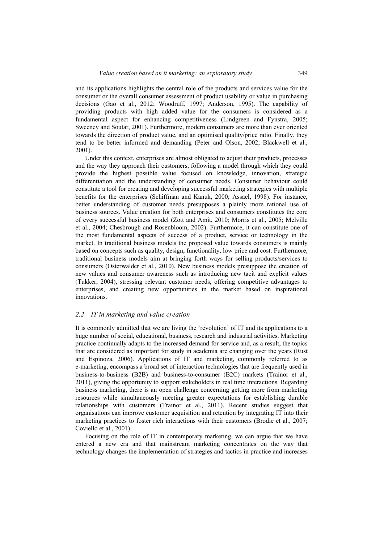and its applications highlights the central role of the products and services value for the consumer or the overall consumer assessment of product usability or value in purchasing decisions (Gao et al., 2012; Woodruff, 1997; Anderson, 1995). The capability of providing products with high added value for the consumers is considered as a fundamental aspect for enhancing competitiveness (Lindgreen and Fynstra, 2005; Sweeney and Soutar, 2001). Furthermore, modern consumers are more than ever oriented towards the direction of product value, and an optimised quality/price ratio. Finally, they tend to be better informed and demanding (Peter and Olson, 2002; Blackwell et al., 2001).

Under this context, enterprises are almost obligated to adjust their products, processes and the way they approach their customers, following a model through which they could provide the highest possible value focused on knowledge, innovation, strategic differentiation and the understanding of consumer needs. Consumer behaviour could constitute a tool for creating and developing successful marketing strategies with multiple benefits for the enterprises (Schiffman and Kanuk, 2000; Assael, 1998). For instance, better understanding of customer needs presupposes a plainly more rational use of business sources. Value creation for both enterprises and consumers constitutes the core of every successful business model (Zott and Amit, 2010; Morris et al., 2005; Melville et al., 2004; Chesbrough and Rosenbloom, 2002). Furthermore, it can constitute one of the most fundamental aspects of success of a product, service or technology in the market. In traditional business models the proposed value towards consumers is mainly based on concepts such as quality, design, functionality, low price and cost. Furthermore, traditional business models aim at bringing forth ways for selling products/services to consumers (Osterwalder et al., 2010). New business models presuppose the creation of new values and consumer awareness such as introducing new tacit and explicit values (Tukker, 2004), stressing relevant customer needs, offering competitive advantages to enterprises, and creating new opportunities in the market based on inspirational innovations.

#### *2.2 IT in marketing and value creation*

It is commonly admitted that we are living the 'revolution' of IT and its applications to a huge number of social, educational, business, research and industrial activities. Marketing practice continually adapts to the increased demand for service and, as a result, the topics that are considered as important for study in academia are changing over the years (Rust and Espinoza, 2006). Applications of IT and marketing, commonly referred to as e-marketing, encompass a broad set of interaction technologies that are frequently used in business-to-business (B2B) and business-to-consumer (B2C) markets (Trainor et al., 2011), giving the opportunity to support stakeholders in real time interactions. Regarding business marketing, there is an open challenge concerning getting more from marketing resources while simultaneously meeting greater expectations for establishing durable relationships with customers (Trainor et al., 2011). Recent studies suggest that organisations can improve customer acquisition and retention by integrating IT into their marketing practices to foster rich interactions with their customers (Brodie et al., 2007; Coviello et al., 2001).

Focusing on the role of IT in contemporary marketing, we can argue that we have entered a new era and that mainstream marketing concentrates on the way that technology changes the implementation of strategies and tactics in practice and increases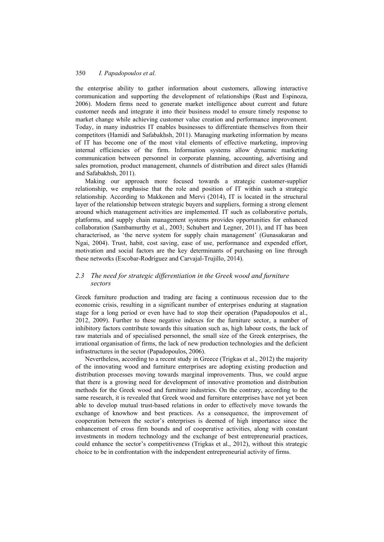the enterprise ability to gather information about customers, allowing interactive communication and supporting the development of relationships (Rust and Espinoza, 2006). Modern firms need to generate market intelligence about current and future customer needs and integrate it into their business model to ensure timely response to market change while achieving customer value creation and performance improvement. Today, in many industries IT enables businesses to differentiate themselves from their competitors (Hamidi and Safabakhsh, 2011). Managing marketing information by means of IT has become one of the most vital elements of effective marketing, improving internal efficiencies of the firm. Information systems allow dynamic marketing communication between personnel in corporate planning, accounting, advertising and sales promotion, product management, channels of distribution and direct sales (Hamidi and Safabakhsh, 2011).

Making our approach more focused towards a strategic customer-supplier relationship, we emphasise that the role and position of IT within such a strategic relationship. According to Makkonen and Mervi (2014), IT is located in the structural layer of the relationship between strategic buyers and suppliers, forming a strong element around which management activities are implemented. IT such as collaborative portals, platforms, and supply chain management systems provides opportunities for enhanced collaboration (Sambamurthy et al., 2003; Schubert and Legner, 2011), and IT has been characterised, as 'the nerve system for supply chain management' (Gunasakaran and Ngai, 2004). Trust, habit, cost saving, ease of use, performance and expended effort, motivation and social factors are the key determinants of purchasing on line through these networks (Escobar-Rodríguez and Carvajal-Trujillo, 2014).

#### *2.3 The need for strategic differentiation in the Greek wood and furniture sectors*

Greek furniture production and trading are facing a continuous recession due to the economic crisis, resulting in a significant number of enterprises enduring at stagnation stage for a long period or even have had to stop their operation (Papadopoulos et al., 2012, 2009). Further to these negative indexes for the furniture sector, a number of inhibitory factors contribute towards this situation such as, high labour costs, the lack of raw materials and of specialised personnel, the small size of the Greek enterprises, the irrational organisation of firms, the lack of new production technologies and the deficient infrastructures in the sector (Papadopoulos, 2006).

Nevertheless, according to a recent study in Greece (Trigkas et al., 2012) the majority of the innovating wood and furniture enterprises are adopting existing production and distribution processes moving towards marginal improvements. Thus, we could argue that there is a growing need for development of innovative promotion and distribution methods for the Greek wood and furniture industries. On the contrary, according to the same research, it is revealed that Greek wood and furniture enterprises have not yet been able to develop mutual trust-based relations in order to effectively move towards the exchange of knowhow and best practices. As a consequence, the improvement of cooperation between the sector's enterprises is deemed of high importance since the enhancement of cross firm bounds and of cooperative activities, along with constant investments in modern technology and the exchange of best entrepreneurial practices, could enhance the sector's competitiveness (Trigkas et al., 2012), without this strategic choice to be in confrontation with the independent entrepreneurial activity of firms.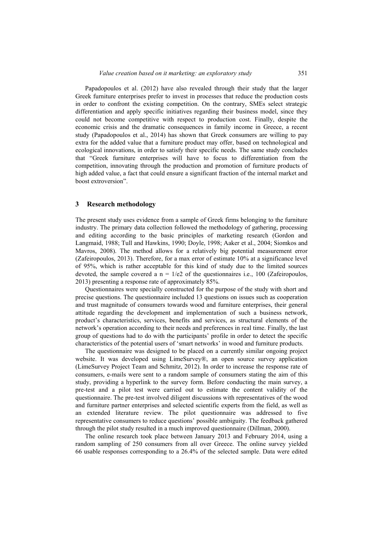Papadopoulos et al. (2012) have also revealed through their study that the larger Greek furniture enterprises prefer to invest in processes that reduce the production costs in order to confront the existing competition. On the contrary, SMEs select strategic differentiation and apply specific initiatives regarding their business model, since they could not become competitive with respect to production cost. Finally, despite the economic crisis and the dramatic consequences in family income in Greece, a recent study (Papadopoulos et al., 2014) has shown that Greek consumers are willing to pay extra for the added value that a furniture product may offer, based on technological and ecological innovations, in order to satisfy their specific needs. The same study concludes that "Greek furniture enterprises will have to focus to differentiation from the competition, innovating through the production and promotion of furniture products of high added value, a fact that could ensure a significant fraction of the internal market and boost extroversion".

### **3 Research methodology**

The present study uses evidence from a sample of Greek firms belonging to the furniture industry. The primary data collection followed the methodology of gathering, processing and editing according to the basic principles of marketing research (Gordon and Langmaid, 1988; Tull and Hawkins, 1990; Doyle, 1998; Aaker et al., 2004; Siomkos and Mavros, 2008). The method allows for a relatively big potential measurement error (Zafeiropoulos, 2013). Therefore, for a max error of estimate 10% at a significance level of 95%, which is rather acceptable for this kind of study due to the limited sources devoted, the sample covered a  $n = 1/e2$  of the questionnaires i.e., 100 (Zafeiropoulos, 2013) presenting a response rate of approximately 85%.

Questionnaires were specially constructed for the purpose of the study with short and precise questions. The questionnaire included 13 questions on issues such as cooperation and trust magnitude of consumers towards wood and furniture enterprises, their general attitude regarding the development and implementation of such a business network, product's characteristics, services, benefits and services, as structural elements of the network's operation according to their needs and preferences in real time. Finally, the last group of questions had to do with the participants' profile in order to detect the specific characteristics of the potential users of 'smart networks' in wood and furniture products.

The questionnaire was designed to be placed on a currently similar ongoing project website. It was developed using LimeSurvey®, an open source survey application (LimeSurvey Project Team and Schmitz, 2012). In order to increase the response rate of consumers, e-mails were sent to a random sample of consumers stating the aim of this study, providing a hyperlink to the survey form. Before conducting the main survey, a pre-test and a pilot test were carried out to estimate the content validity of the questionnaire. The pre-test involved diligent discussions with representatives of the wood and furniture partner enterprises and selected scientific experts from the field, as well as an extended literature review. The pilot questionnaire was addressed to five representative consumers to reduce questions' possible ambiguity. The feedback gathered through the pilot study resulted in a much improved questionnaire (Dillman, 2000).

The online research took place between January 2013 and February 2014, using a random sampling of 250 consumers from all over Greece. The online survey yielded 66 usable responses corresponding to a 26.4% of the selected sample. Data were edited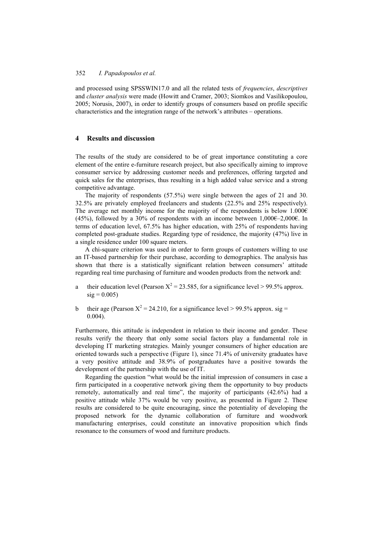and processed using SPSSWIN17.0 and all the related tests of *frequencies*, *descriptives*  and *cluster analysis* were made (Howitt and Cramer, 2003; Siomkos and Vasilikopoulou, 2005; Norusis, 2007), in order to identify groups of consumers based on profile specific characteristics and the integration range of the network's attributes – operations.

### **4 Results and discussion**

The results of the study are considered to be of great importance constituting a core element of the entire e-furniture research project, but also specifically aiming to improve consumer service by addressing customer needs and preferences, offering targeted and quick sales for the enterprises, thus resulting in a high added value service and a strong competitive advantage.

The majority of respondents (57.5%) were single between the ages of 21 and 30. 32.5% are privately employed freelancers and students (22.5% and 25% respectively). The average net monthly income for the majority of the respondents is below  $1.000 \in$ (45%), followed by a 30% of respondents with an income between  $1.000E$ –2,000 $E$ . In terms of education level, 67.5% has higher education, with 25% of respondents having completed post-graduate studies. Regarding type of residence, the majority (47%) live in a single residence under 100 square meters.

A chi-square criterion was used in order to form groups of customers willing to use an IT-based partnership for their purchase, according to demographics. The analysis has shown that there is a statistically significant relation between consumers' attitude regarding real time purchasing of furniture and wooden products from the network and:

- a their education level (Pearson  $X^2 = 23.585$ , for a significance level > 99.5% approx.  $sig = 0.005$
- b their age (Pearson  $X^2 = 24.210$ , for a significance level > 99.5% approx. sig = 0.004).

Furthermore, this attitude is independent in relation to their income and gender. These results verify the theory that only some social factors play a fundamental role in developing IT marketing strategies. Mainly younger consumers of higher education are oriented towards such a perspective (Figure 1), since 71.4% of university graduates have a very positive attitude and 38.9% of postgraduates have a positive towards the development of the partnership with the use of IT.

Regarding the question "what would be the initial impression of consumers in case a firm participated in a cooperative network giving them the opportunity to buy products remotely, automatically and real time", the majority of participants (42.6%) had a positive attitude while 37% would be very positive, as presented in Figure 2. These results are considered to be quite encouraging, since the potentiality of developing the proposed network for the dynamic collaboration of furniture and woodwork manufacturing enterprises, could constitute an innovative proposition which finds resonance to the consumers of wood and furniture products.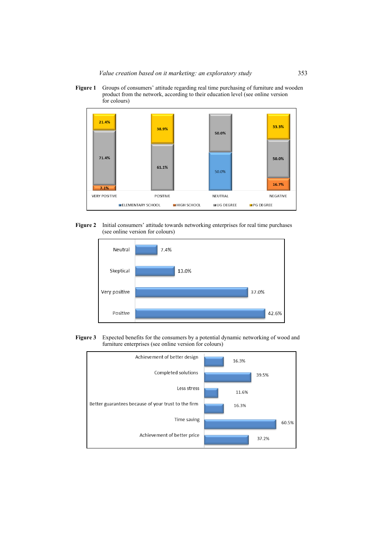



**Figure 2** Initial consumers' attitude towards networking enterprises for real time purchases (see online version for colours)





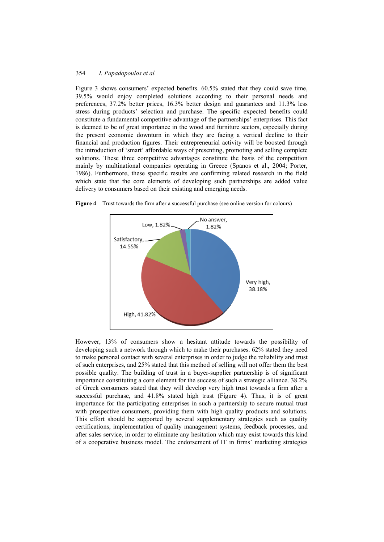Figure 3 shows consumers' expected benefits. 60.5% stated that they could save time, 39.5% would enjoy completed solutions according to their personal needs and preferences, 37.2% better prices, 16.3% better design and guarantees and 11.3% less stress during products' selection and purchase. The specific expected benefits could constitute a fundamental competitive advantage of the partnerships' enterprises. This fact is deemed to be of great importance in the wood and furniture sectors, especially during the present economic downturn in which they are facing a vertical decline to their financial and production figures. Their entrepreneurial activity will be boosted through the introduction of 'smart' affordable ways of presenting, promoting and selling complete solutions. These three competitive advantages constitute the basis of the competition mainly by multinational companies operating in Greece (Spanos et al., 2004; Porter, 1986). Furthermore, these specific results are confirming related research in the field which state that the core elements of developing such partnerships are added value delivery to consumers based on their existing and emerging needs.



**Figure 4** Trust towards the firm after a successful purchase (see online version for colours)

However, 13% of consumers show a hesitant attitude towards the possibility of developing such a network through which to make their purchases. 62% stated they need to make personal contact with several enterprises in order to judge the reliability and trust of such enterprises, and 25% stated that this method of selling will not offer them the best possible quality. The building of trust in a buyer-supplier partnership is of significant importance constituting a core element for the success of such a strategic alliance. 38.2% of Greek consumers stated that they will develop very high trust towards a firm after a successful purchase, and 41.8% stated high trust (Figure 4). Thus, it is of great importance for the participating enterprises in such a partnership to secure mutual trust with prospective consumers, providing them with high quality products and solutions. This effort should be supported by several supplementary strategies such as quality certifications, implementation of quality management systems, feedback processes, and after sales service, in order to eliminate any hesitation which may exist towards this kind of a cooperative business model. The endorsement of IT in firms' marketing strategies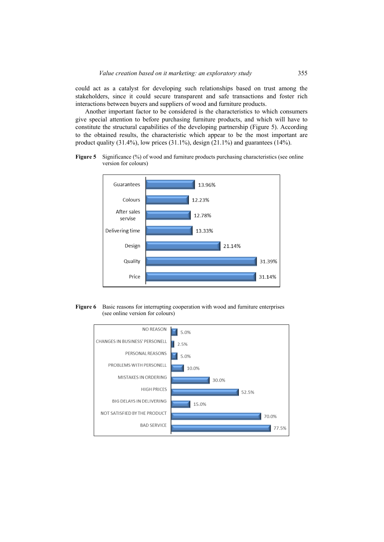could act as a catalyst for developing such relationships based on trust among the stakeholders, since it could secure transparent and safe transactions and foster rich interactions between buyers and suppliers of wood and furniture products.

Another important factor to be considered is the characteristics to which consumers give special attention to before purchasing furniture products, and which will have to constitute the structural capabilities of the developing partnership (Figure 5). According to the obtained results, the characteristic which appear to be the most important are product quality  $(31.4\%)$ , low prices  $(31.1\%)$ , design  $(21.1\%)$  and guarantees  $(14\%)$ .

**Figure 5** Significance (%) of wood and furniture products purchasing characteristics (see online version for colours)





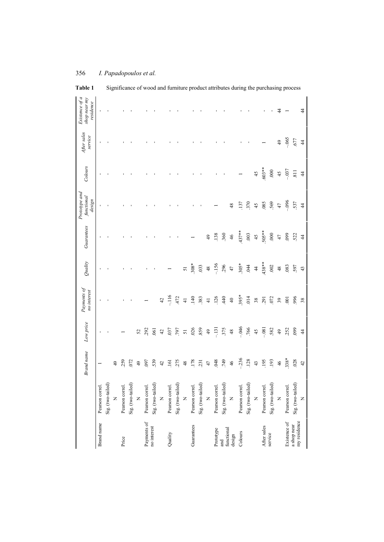|                             |                   | Brand name      | Low price  | Payments of<br>no interest | Quality       | Guarantees    | Prototype and<br>functional<br>design | Colours          | After sales<br>service | Existence of a<br>shop near my<br>residence |
|-----------------------------|-------------------|-----------------|------------|----------------------------|---------------|---------------|---------------------------------------|------------------|------------------------|---------------------------------------------|
| Brand name                  | Pearson correl.   |                 |            |                            |               |               |                                       |                  |                        |                                             |
|                             | Sig. (two-tailed) |                 |            |                            |               |               |                                       |                  |                        |                                             |
|                             | $\mathsf{z}$      | $\overline{6}$  |            |                            |               |               |                                       |                  |                        |                                             |
| Price                       | Pearson correl.   | 259             |            |                            |               |               |                                       |                  |                        |                                             |
|                             | Sig. (two-tailed) | .072            |            |                            |               |               |                                       |                  |                        |                                             |
|                             | $\mathsf{z}$      | $\overline{49}$ | 52         |                            |               |               |                                       |                  |                        |                                             |
| Payments of                 | Pearson correl.   | .097            | 292        |                            |               |               |                                       |                  |                        |                                             |
| no interest                 | Sig. (two-tailed) | 539             | .061       |                            |               |               |                                       |                  |                        |                                             |
|                             | $\mathsf{z}$      | 42              | 42         | $\overline{4}$             |               |               |                                       |                  |                        |                                             |
| Quality                     | Pearson correl.   | .161            | .037       | $-116$                     |               |               |                                       |                  |                        |                                             |
|                             | Sig. (two-tailed) | .275            | .797       | 472                        |               |               |                                       |                  |                        |                                             |
|                             | $\mathsf{z}$      | 48              | 51         | $\overline{4}$             | 51            |               |                                       |                  |                        |                                             |
| Guarantees                  | Pearson correl.   | .178            | .026       | 140                        | $.308*$       |               |                                       |                  |                        |                                             |
|                             | Sig. (two-tailed) | 231             | .859       | .383                       | .033          |               |                                       |                  |                        |                                             |
|                             | $\mathsf{z}$      | 47              | 49         | $\overline{+}$             | 48            | 49            |                                       |                  |                        |                                             |
| Prototype                   | Pearson correl.   | .048            | $-131$     | .126                       | $-156$        | .138          |                                       |                  |                        |                                             |
| functional<br>and           | Sig. (two-tailed) | 749             | .375       | 440                        | .296          | 360           |                                       |                  |                        |                                             |
| design                      | $\mathsf{z}$      | 46              | 48         | $40$                       | 47            | 46            | 48                                    |                  |                        |                                             |
| Colours                     | Pearson correl.   | $-236$          | $-046$     | $.395*$                    | $.305*$       | $.437**$      | .137                                  |                  |                        |                                             |
|                             | Sig. (two-tailed) | .128            | .766       | 014                        | 044           | .003          | .370                                  |                  |                        |                                             |
|                             | $\mathsf{z}$      | 43              | 45         | 38                         | $\frac{4}{3}$ | 45            | 45                                    | 45               |                        |                                             |
| After sales                 | Pearson correl.   | .195            | $-0.81$    | 291                        | $438**$       | .505**        | .085                                  | 603**            |                        |                                             |
| service                     | Sig. (two-tailed) | .193            | 582        | .072                       | $002$         | 000           | 569                                   | 000              |                        |                                             |
|                             | $\mathsf{z}$      | $\frac{4}{6}$   | 49         | 39                         | 48            | 47            | 47                                    | 45               | $^{49}$                |                                             |
| Existence of                | Pearson correl.   | $338*$          | .252       | .001                       | .083          | .099          | $-0.96$                               | $-.037$          | $-0.065$               |                                             |
| my residence<br>a shop near | Sig. (two-tailed) | .028            | 660        | 996                        | 597           | .522          | .537                                  | $\overline{811}$ | .677                   |                                             |
|                             | $\mathsf{z}$      | 42              | $\ddot{4}$ | $38\,$                     | $43$          | $\frac{4}{4}$ | $\ddot{4}$                            | $\ddot{4}$       | $\ddot{4}$             | $\ddot{4}$                                  |

**Table 1** Significance of wood and furniture product attributes during the purchasing process

356 *I. Papadopoulos et al.*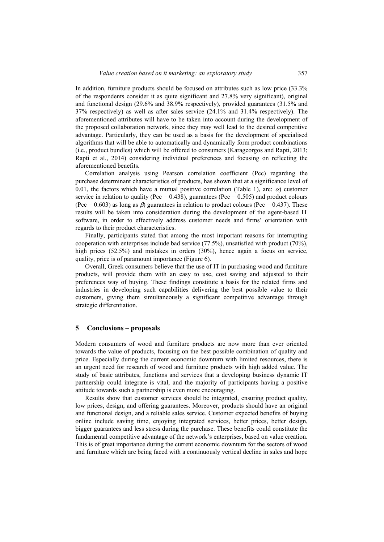In addition, furniture products should be focused on attributes such as low price (33.3% of the respondents consider it as quite significant and 27.8% very significant), original and functional design (29.6% and 38.9% respectively), provided guarantees (31.5% and 37% respectively) as well as after sales service (24.1% and 31.4% respectively). The aforementioned attributes will have to be taken into account during the development of the proposed collaboration network, since they may well lead to the desired competitive advantage. Particularly, they can be used as a basis for the development of specialised algorithms that will be able to automatically and dynamically form product combinations (i.e., product bundles) which will be offered to consumers (Karageorgos and Rapti, 2013; Rapti et al., 2014) considering individual preferences and focusing on reflecting the aforementioned benefits.

Correlation analysis using Pearson correlation coefficient (Pcc) regarding the purchase determinant characteristics of products, has shown that at a significance level of 0.01, the factors which have a mutual positive correlation (Table 1), are:  $\alpha$ ) customer service in relation to quality (Pcc = 0.438), guarantees (Pcc = 0.505) and product colours (Pcc = 0.603) as long as  $\beta$ ) guarantees in relation to product colours (Pcc = 0.437). These results will be taken into consideration during the development of the agent-based IT software, in order to effectively address customer needs and firms' orientation with regards to their product characteristics.

Finally, participants stated that among the most important reasons for interrupting cooperation with enterprises include bad service (77.5%), unsatisfied with product (70%), high prices (52.5%) and mistakes in orders (30%), hence again a focus on service, quality, price is of paramount importance (Figure 6).

Overall, Greek consumers believe that the use of IT in purchasing wood and furniture products, will provide them with an easy to use, cost saving and adjusted to their preferences way of buying. These findings constitute a basis for the related firms and industries in developing such capabilities delivering the best possible value to their customers, giving them simultaneously a significant competitive advantage through strategic differentiation.

#### **5 Conclusions – proposals**

Modern consumers of wood and furniture products are now more than ever oriented towards the value of products, focusing on the best possible combination of quality and price. Especially during the current economic downturn with limited resources, there is an urgent need for research of wood and furniture products with high added value. The study of basic attributes, functions and services that a developing business dynamic IT partnership could integrate is vital, and the majority of participants having a positive attitude towards such a partnership is even more encouraging.

Results show that customer services should be integrated, ensuring product quality, low prices, design, and offering guarantees. Moreover, products should have an original and functional design, and a reliable sales service. Customer expected benefits of buying online include saving time, enjoying integrated services, better prices, better design, bigger guarantees and less stress during the purchase. These benefits could constitute the fundamental competitive advantage of the network's enterprises, based on value creation. This is of great importance during the current economic downturn for the sectors of wood and furniture which are being faced with a continuously vertical decline in sales and hope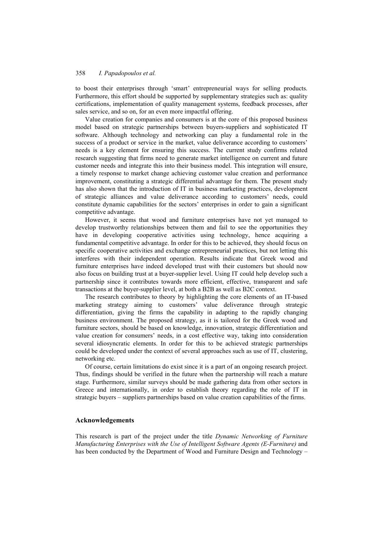to boost their enterprises through 'smart' entrepreneurial ways for selling products. Furthermore, this effort should be supported by supplementary strategies such as: quality certifications, implementation of quality management systems, feedback processes, after sales service, and so on, for an even more impactful offering.

Value creation for companies and consumers is at the core of this proposed business model based on strategic partnerships between buyers-suppliers and sophisticated IT software. Although technology and networking can play a fundamental role in the success of a product or service in the market, value deliverance according to customers' needs is a key element for ensuring this success. The current study confirms related research suggesting that firms need to generate market intelligence on current and future customer needs and integrate this into their business model. This integration will ensure, a timely response to market change achieving customer value creation and performance improvement, constituting a strategic differential advantage for them. The present study has also shown that the introduction of IT in business marketing practices, development of strategic alliances and value deliverance according to customers' needs, could constitute dynamic capabilities for the sectors' enterprises in order to gain a significant competitive advantage.

However, it seems that wood and furniture enterprises have not yet managed to develop trustworthy relationships between them and fail to see the opportunities they have in developing cooperative activities using technology, hence acquiring a fundamental competitive advantage. In order for this to be achieved, they should focus on specific cooperative activities and exchange entrepreneurial practices, but not letting this interferes with their independent operation. Results indicate that Greek wood and furniture enterprises have indeed developed trust with their customers but should now also focus on building trust at a buyer-supplier level. Using IT could help develop such a partnership since it contributes towards more efficient, effective, transparent and safe transactions at the buyer-supplier level, at both a B2B as well as B2C context.

The research contributes to theory by highlighting the core elements of an IT-based marketing strategy aiming to customers' value deliverance through strategic differentiation, giving the firms the capability in adapting to the rapidly changing business environment. The proposed strategy, as it is tailored for the Greek wood and furniture sectors, should be based on knowledge, innovation, strategic differentiation and value creation for consumers' needs, in a cost effective way, taking into consideration several idiosyncratic elements. In order for this to be achieved strategic partnerships could be developed under the context of several approaches such as use of IT, clustering, networking etc.

Of course, certain limitations do exist since it is a part of an ongoing research project. Thus, findings should be verified in the future when the partnership will reach a mature stage. Furthermore, similar surveys should be made gathering data from other sectors in Greece and internationally, in order to establish theory regarding the role of IT in strategic buyers – suppliers partnerships based on value creation capabilities of the firms.

#### **Acknowledgements**

This research is part of the project under the title *Dynamic Networking of Furniture Manufacturing Enterprises with the Use of Intelligent Software Agents (E-Furniture)* and has been conducted by the Department of Wood and Furniture Design and Technology –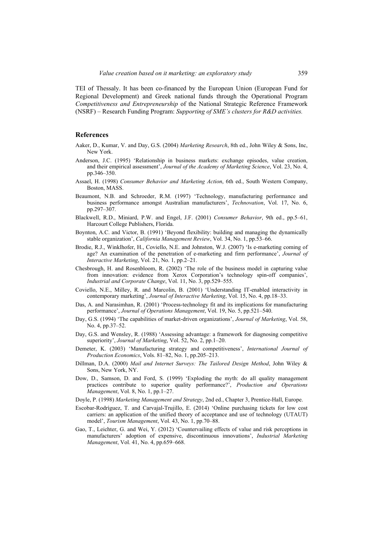TEI of Thessaly. It has been co-financed by the European Union (European Fund for Regional Development) and Greek national funds through the Operational Program *Competitiveness and Entrepreneurship* of the National Strategic Reference Framework (NSRF) – Research Funding Program: *Supporting of SME's clusters for R&D activities.*

#### **References**

- Aaker, D., Kumar, V. and Day, G.S. (2004) *Marketing Research*, 8th ed., John Wiley & Sons, Inc, New York.
- Anderson, J.C. (1995) 'Relationship in business markets: exchange episodes, value creation, and their empirical assessment', *Journal of the Academy of Marketing Science*, Vol. 23, No. 4, pp.346–350.
- Assael, H. (1998) *Consumer Behavior and Marketing Action*, 6th ed., South Western Company, Boston, MASS.
- Beaumont, N.B. and Schroeder, R.M. (1997) 'Technology, manufacturing performance and business performance amongst Australian manufacturers', *Technovation*, Vol. 17, No. 6, pp.297–307.
- Blackwell, R.D., Miniard, P.W. and Engel, J.F. (2001) *Consumer Behavior*, 9th ed., pp.5–61, Harcourt College Publishers, Florida.
- Boynton, A.C. and Victor, B. (1991) 'Beyond flexibility: building and managing the dynamically stable organization', *California Management Review*, Vol. 34, No. 1, pp.53–66.
- Brodie, R.J., Winklhofer, H., Coviello, N.E. and Johnston, W.J. (2007) 'Is e-marketing coming of age? An examination of the penetration of e-marketing and firm performance', *Journal of Interactive Marketing*, Vol. 21, No. 1, pp.2–21.
- Chesbrough, H. and Rosenbloom, R. (2002) 'The role of the business model in capturing value from innovation: evidence from Xerox Corporation's technology spin-off companies', *Industrial and Corporate Change*, Vol. 11, No. 3, pp.529–555.
- Coviello, N.E., Milley, R. and Marcolin, B. (2001) 'Understanding IT-enabled interactivity in contemporary marketing', *Journal of Interactive Marketing*, Vol. 15, No. 4, pp.18–33.
- Das, A. and Narasimhan, R. (2001) 'Process-technology fit and its implications for manufacturing performance', *Journal of Operations Management*, Vol. 19, No. 5, pp.521–540.
- Day, G.S. (1994) 'The capabilities of market-driven organizations', *Journal of Marketing*, Vol. 58, No. 4, pp.37–52.
- Day, G.S. and Wensley, R. (1988) 'Assessing advantage: a framework for diagnosing competitive superiority', *Journal of Marketing*, Vol. 52, No. 2, pp.1–20.
- Demeter, K. (2003) 'Manufacturing strategy and competitiveness', *International Journal of Production Economics*, Vols. 81–82, No. 1, pp.205–213.
- Dillman, D.A. (2000) *Mail and Internet Surveys: The Tailored Design Method*, John Wiley & Sons, New York, NY.
- Dow, D., Samson, D. and Ford, S. (1999) 'Exploding the myth: do all quality management practices contribute to superior quality performance?', *Production and Operations Management*, Vol. 8, No. 1, pp.1–27.
- Doyle, P. (1998) *Marketing Management and Strategy*, 2nd ed., Chapter 3, Prentice-Hall, Europe.
- Escobar-Rodríguez, T. and Carvajal-Trujillo, E. (2014) 'Online purchasing tickets for low cost carriers: an application of the unified theory of acceptance and use of technology (UTAUT) model', *Tourism Management*, Vol. 43, No. 1, pp.70–88.
- Gao, T., Leichter, G. and Wei, Y. (2012) 'Countervailing effects of value and risk perceptions in manufacturers' adoption of expensive, discontinuous innovations', *Industrial Marketing Management*, Vol. 41, No. 4, pp.659–668.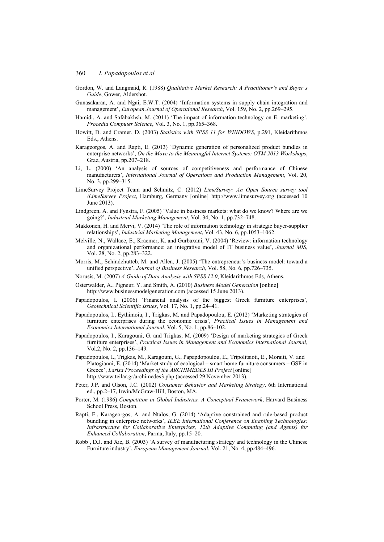- Gordon, W. and Langmaid, R. (1988) *Qualitative Market Research: A Practitioner's and Buyer's Guide*, Gower, Aldershot.
- Gunasakaran, A. and Ngai, E.W.T. (2004) 'Information systems in supply chain integration and management', *European Journal of Operational Research*, Vol. 159, No. 2, pp.269–295.
- Hamidi, A. and Safabakhsh, M. (2011) 'The impact of information technology on E. marketing', *Procedia Computer Science*, Vol. 3, No. 1, pp.365–368.
- Howitt, D. and Cramer, D. (2003) *Statistics with SPSS 11 for WINDOWS*, p.291, Kleidarithmos Eds., Athens.
- Karageorgos, Α. and Rapti, E. (2013) 'Dynamic generation of personalized product bundles in enterprise networks', *On the Move to the Meaningful Internet Systems: OTM 2013 Workshops*, Graz, Austria, pp.207–218.
- Li, L. (2000) 'An analysis of sources of competitiveness and performance of Chinese manufacturers', *International Journal of Operations and Production Management*, Vol. 20, No. 3, pp.299–315.
- LimeSurvey Project Team and Schmitz, C. (2012) *LimeSurvey: An Open Source survey tool /LimeSurvey Project*, Hamburg, Germany [online] http://www.limesurvey.org (accessed 10 June 2013).
- Lindgreen, A. and Fynstra, F. (2005) 'Value in business markets: what do we know? Where are we going?', *Industrial Marketing Management*, Vol. 34, No. 1, pp.732–748.
- Makkonen, H. and Mervi, V. (2014) 'The role of information technology in strategic buyer-supplier relationships', *Industrial Marketing Management*, Vol. 43, No. 6, pp.1053–1062.
- Melville, N., Wallace, E., Kraemer, K. and Gurbaxani, V. (2004) 'Review: information technology and organizational performance: an integrative model of IT business value', *Journal MIS*, Vol. 28, No. 2, pp.283–322.
- Morris, M., Schindehutteb, M. and Allen, J. (2005) 'The entrepreneur's business model: toward a unified perspective', *Journal of Business Research*, Vol. 58, No. 6, pp.726–735.
- Norusis, M. (2007) *A Guide of Data Analysis with SPSS 12.0*, Kleidarithmos Eds, Athens.
- Osterwalder, A., Pigneur, Y. and Smith, A. (2010) *Business Model Generation* [online] http://www.businessmodelgeneration.com (accessed 15 June 2013).
- Papadopoulos, Ι. (2006) 'Financial analysis of the biggest Greek furniture enterprises', *Geotechnical Scientific Issues*, Vol. 17, No. 1, pp.24–41.
- Papadopoulos, Ι., Eythimoiu, I., Trigkas, Μ. and Papadopoulou, E. (2012) 'Marketing strategies of furniture enterprises during the economic crisis', *Practical Issues in Management and Economics International Journal*, Vol. 5, No. 1, pp.86–102.
- Papadopoulos, Ι., Karagouni, G. and Trigkas, Μ. (2009) 'Design of marketing strategies of Greek furniture enterprises', *Practical Issues in Management and Economics International Journal*, Vol.2, No. 2, pp.136–149.
- Papadopoulos, Ι., Trigkas, Μ., Karagouni, G., Papapdopoulou, E., Tripolitsioti, E., Moraiti, V. and Platogianni, Ε. (2014) 'Market study of ecological – smart home furniture consumers – GSF in Greece', *Larisa Proceedings of the ARCHIMEDES ΙΙΙ Project* [online] http://www.teilar.gr/archimedes3.php (accessed 29 November 2013).
- Peter, J.P. and Olson, J.C. (2002) *Consumer Behavior and Marketing Strategy*, 6th International ed., pp.2–17, Irwin/McGraw-Hill, Boston, MA.
- Porter, M. (1986) *Competition in Global Industries. A Conceptual Framework*, Harvard Business School Press, Boston.
- Rapti, Ε., Karageorgos, A. and Ntalos, G. (2014) 'Adaptive constrained and rule-based product bundling in enterprise networks', *IEEE International Conference on Enabling Technologies: Infrastructure for Collaborative Enterprises, 12th Adaptive Computing (and Agents) for Enhanced Collaboration*, Parma, Italy, pp.15–20.
- Robb , D.J. and Xie, B. (2003) 'A survey of manufacturing strategy and technology in the Chinese Furniture industry', *European Management Journal*, Vol. 21, No. 4, pp.484–496.